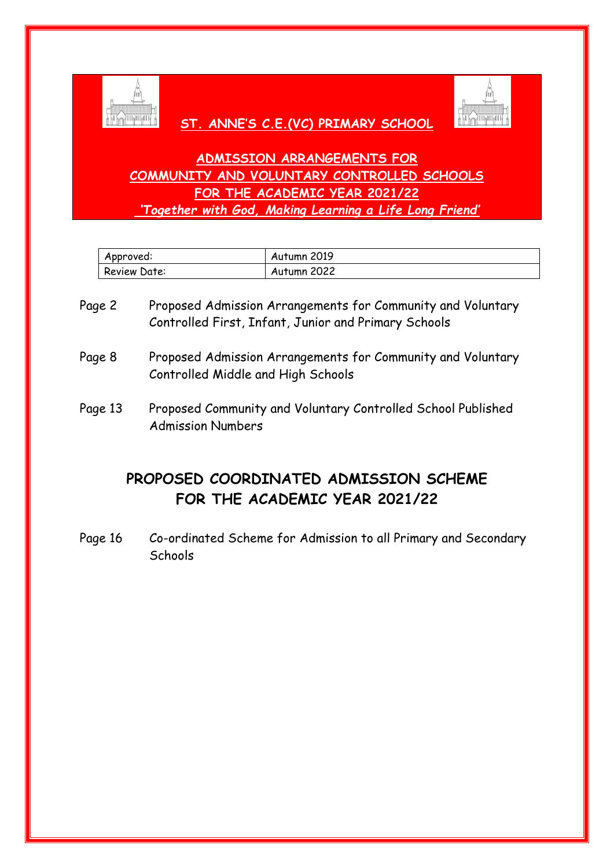

# **ST. ANNE'S C.E.(VC) PRIMARY SCHOOL**



# **ADMISSION ARRANGEMENTS FOR COMMUNITY AND VOLUNTARY CONTROLLED SCHOOLS FOR THE ACADEMIC YEAR 2021/22** *'Together with God, Making Learning a Life Long Friend'*

| Approved:    | Autumn 2019 |
|--------------|-------------|
| Review Date: | Autumn 2022 |

- Page 2 Proposed Admission Arrangements for Community and Voluntary Controlled First, Infant, Junior and Primary Schools
- Page 8 Proposed Admission Arrangements for Community and Voluntary Controlled Middle and High Schools
- Page 13 Proposed Community and Voluntary Controlled School Published Admission Numbers

# **PROPOSED COORDINATED ADMISSION SCHEME FOR THE ACADEMIC YEAR 2021/22**

Page 16 Co-ordinated Scheme for Admission to all Primary and Secondary **Schools**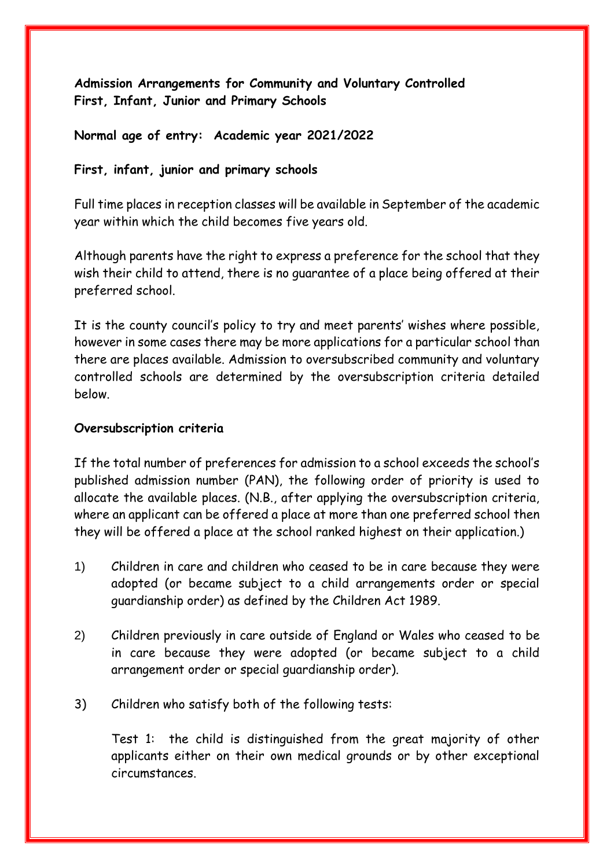**Admission Arrangements for Community and Voluntary Controlled First, Infant, Junior and Primary Schools**

#### **Normal age of entry: Academic year 2021/2022**

#### **First, infant, junior and primary schools**

Full time places in reception classes will be available in September of the academic year within which the child becomes five years old.

Although parents have the right to express a preference for the school that they wish their child to attend, there is no guarantee of a place being offered at their preferred school.

It is the county council's policy to try and meet parents' wishes where possible, however in some cases there may be more applications for a particular school than there are places available. Admission to oversubscribed community and voluntary controlled schools are determined by the oversubscription criteria detailed below.

#### **Oversubscription criteria**

If the total number of preferences for admission to a school exceeds the school's published admission number (PAN), the following order of priority is used to allocate the available places. (N.B., after applying the oversubscription criteria, where an applicant can be offered a place at more than one preferred school then they will be offered a place at the school ranked highest on their application.)

- 1) Children in care and children who ceased to be in care because they were adopted (or became subject to a child arrangements order or special guardianship order) as defined by the Children Act 1989.
- 2) Children previously in care outside of England or Wales who ceased to be in care because they were adopted (or became subject to a child arrangement order or special guardianship order).
- 3) Children who satisfy both of the following tests:

Test 1: the child is distinguished from the great majority of other applicants either on their own medical grounds or by other exceptional circumstances.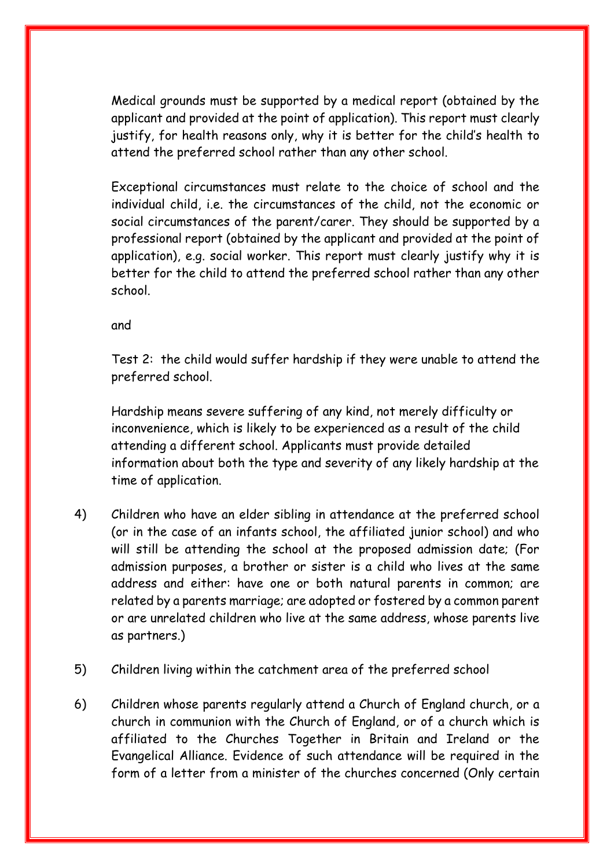Medical grounds must be supported by a medical report (obtained by the applicant and provided at the point of application). This report must clearly justify, for health reasons only, why it is better for the child's health to attend the preferred school rather than any other school.

Exceptional circumstances must relate to the choice of school and the individual child, i.e. the circumstances of the child, not the economic or social circumstances of the parent/carer. They should be supported by a professional report (obtained by the applicant and provided at the point of application), e.g. social worker. This report must clearly justify why it is better for the child to attend the preferred school rather than any other school.

and

Test 2: the child would suffer hardship if they were unable to attend the preferred school.

Hardship means severe suffering of any kind, not merely difficulty or inconvenience, which is likely to be experienced as a result of the child attending a different school. Applicants must provide detailed information about both the type and severity of any likely hardship at the time of application.

- 4) Children who have an elder sibling in attendance at the preferred school (or in the case of an infants school, the affiliated junior school) and who will still be attending the school at the proposed admission date; (For admission purposes, a brother or sister is a child who lives at the same address and either: have one or both natural parents in common; are related by a parents marriage; are adopted or fostered by a common parent or are unrelated children who live at the same address, whose parents live as partners.)
- 5) Children living within the catchment area of the preferred school
- 6) Children whose parents regularly attend a Church of England church, or a church in communion with the Church of England, or of a church which is affiliated to the Churches Together in Britain and Ireland or the Evangelical Alliance. Evidence of such attendance will be required in the form of a letter from a minister of the churches concerned (Only certain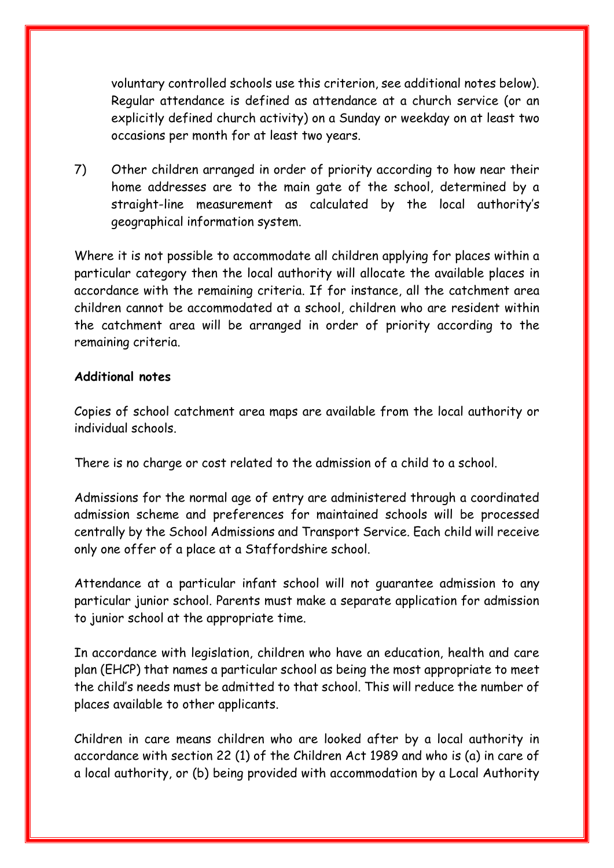voluntary controlled schools use this criterion, see additional notes below). Regular attendance is defined as attendance at a church service (or an explicitly defined church activity) on a Sunday or weekday on at least two occasions per month for at least two years.

7) Other children arranged in order of priority according to how near their home addresses are to the main gate of the school, determined by a straight-line measurement as calculated by the local authority's geographical information system.

Where it is not possible to accommodate all children applying for places within a particular category then the local authority will allocate the available places in accordance with the remaining criteria. If for instance, all the catchment area children cannot be accommodated at a school, children who are resident within the catchment area will be arranged in order of priority according to the remaining criteria.

#### **Additional notes**

Copies of school catchment area maps are available from the local authority or individual schools.

There is no charge or cost related to the admission of a child to a school.

Admissions for the normal age of entry are administered through a coordinated admission scheme and preferences for maintained schools will be processed centrally by the School Admissions and Transport Service. Each child will receive only one offer of a place at a Staffordshire school.

Attendance at a particular infant school will not guarantee admission to any particular junior school. Parents must make a separate application for admission to junior school at the appropriate time.

In accordance with legislation, children who have an education, health and care plan (EHCP) that names a particular school as being the most appropriate to meet the child's needs must be admitted to that school. This will reduce the number of places available to other applicants.

Children in care means children who are looked after by a local authority in accordance with section 22 (1) of the Children Act 1989 and who is (a) in care of a local authority, or (b) being provided with accommodation by a Local Authority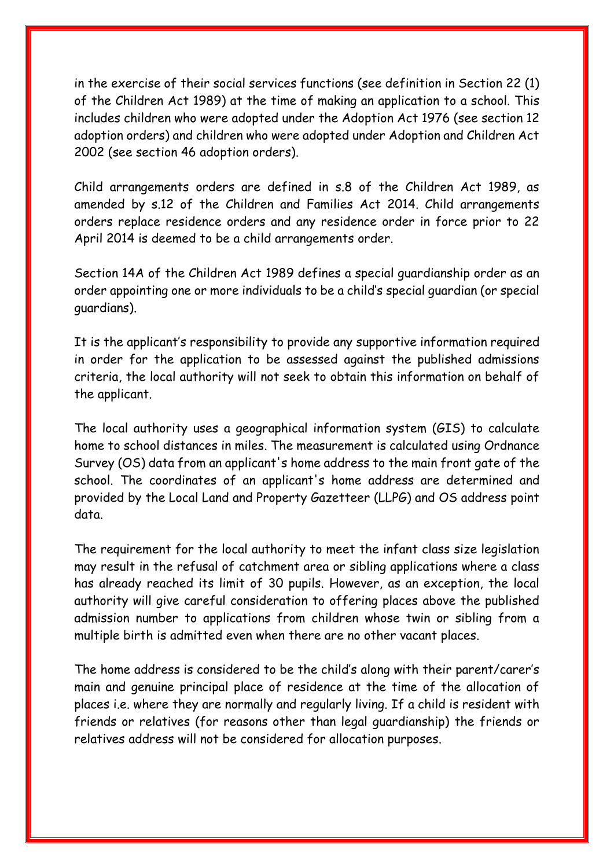in the exercise of their social services functions (see definition in Section 22 (1) of the Children Act 1989) at the time of making an application to a school. This includes children who were adopted under the Adoption Act 1976 (see section 12 adoption orders) and children who were adopted under Adoption and Children Act 2002 (see section 46 adoption orders).

Child arrangements orders are defined in s.8 of the Children Act 1989, as amended by s.12 of the Children and Families Act 2014. Child arrangements orders replace residence orders and any residence order in force prior to 22 April 2014 is deemed to be a child arrangements order.

Section 14A of the Children Act 1989 defines a special guardianship order as an order appointing one or more individuals to be a child's special guardian (or special guardians).

It is the applicant's responsibility to provide any supportive information required in order for the application to be assessed against the published admissions criteria, the local authority will not seek to obtain this information on behalf of the applicant.

The local authority uses a geographical information system (GIS) to calculate home to school distances in miles. The measurement is calculated using Ordnance Survey (OS) data from an applicant's home address to the main front gate of the school. The coordinates of an applicant's home address are determined and provided by the Local Land and Property Gazetteer (LLPG) and OS address point data.

The requirement for the local authority to meet the infant class size legislation may result in the refusal of catchment area or sibling applications where a class has already reached its limit of 30 pupils. However, as an exception, the local authority will give careful consideration to offering places above the published admission number to applications from children whose twin or sibling from a multiple birth is admitted even when there are no other vacant places.

The home address is considered to be the child's along with their parent/carer's main and genuine principal place of residence at the time of the allocation of places i.e. where they are normally and regularly living. If a child is resident with friends or relatives (for reasons other than legal guardianship) the friends or relatives address will not be considered for allocation purposes.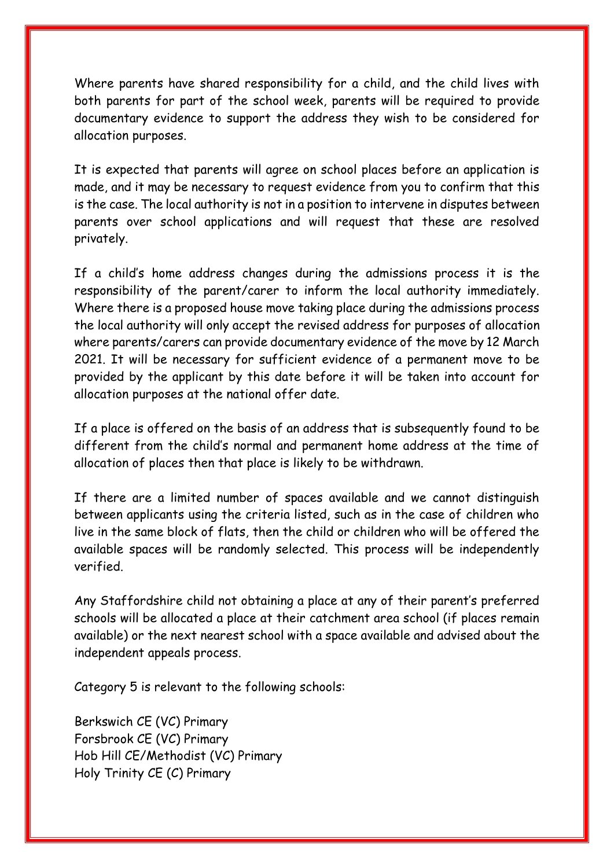Where parents have shared responsibility for a child, and the child lives with both parents for part of the school week, parents will be required to provide documentary evidence to support the address they wish to be considered for allocation purposes.

It is expected that parents will agree on school places before an application is made, and it may be necessary to request evidence from you to confirm that this is the case. The local authority is not in a position to intervene in disputes between parents over school applications and will request that these are resolved privately.

If a child's home address changes during the admissions process it is the responsibility of the parent/carer to inform the local authority immediately. Where there is a proposed house move taking place during the admissions process the local authority will only accept the revised address for purposes of allocation where parents/carers can provide documentary evidence of the move by 12 March 2021. It will be necessary for sufficient evidence of a permanent move to be provided by the applicant by this date before it will be taken into account for allocation purposes at the national offer date.

If a place is offered on the basis of an address that is subsequently found to be different from the child's normal and permanent home address at the time of allocation of places then that place is likely to be withdrawn.

If there are a limited number of spaces available and we cannot distinguish between applicants using the criteria listed, such as in the case of children who live in the same block of flats, then the child or children who will be offered the available spaces will be randomly selected. This process will be independently verified.

Any Staffordshire child not obtaining a place at any of their parent's preferred schools will be allocated a place at their catchment area school (if places remain available) or the next nearest school with a space available and advised about the independent appeals process.

Category 5 is relevant to the following schools:

Berkswich CE (VC) Primary Forsbrook CE (VC) Primary Hob Hill CE/Methodist (VC) Primary Holy Trinity CE (C) Primary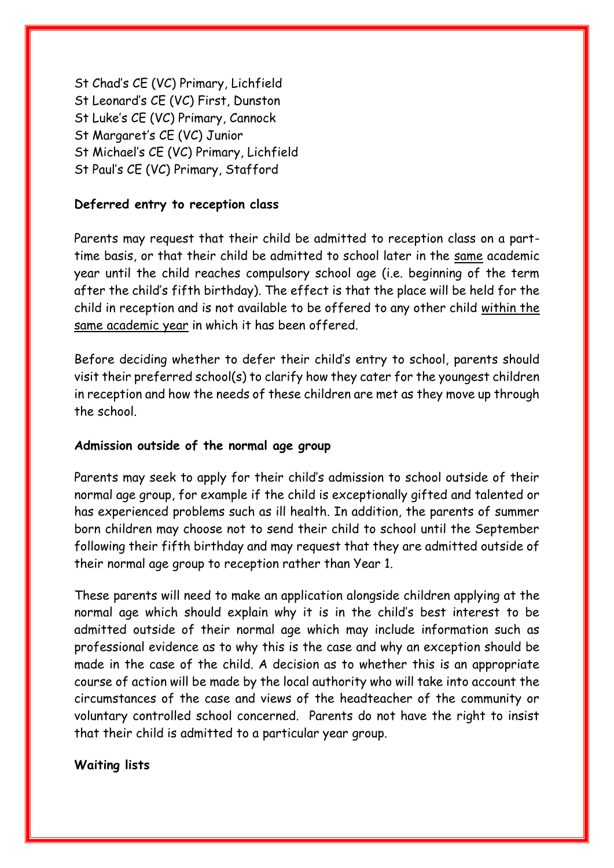St Chad's CE (VC) Primary, Lichfield St Leonard's CE (VC) First, Dunston St Luke's CE (VC) Primary, Cannock St Margaret's CE (VC) Junior St Michael's CE (VC) Primary, Lichfield St Paul's CE (VC) Primary, Stafford

#### **Deferred entry to reception class**

Parents may request that their child be admitted to reception class on a parttime basis, or that their child be admitted to school later in the same academic year until the child reaches compulsory school age (i.e. beginning of the term after the child's fifth birthday). The effect is that the place will be held for the child in reception and is not available to be offered to any other child within the same academic year in which it has been offered.

Before deciding whether to defer their child's entry to school, parents should visit their preferred school(s) to clarify how they cater for the youngest children in reception and how the needs of these children are met as they move up through the school.

#### **Admission outside of the normal age group**

Parents may seek to apply for their child's admission to school outside of their normal age group, for example if the child is exceptionally gifted and talented or has experienced problems such as ill health. In addition, the parents of summer born children may choose not to send their child to school until the September following their fifth birthday and may request that they are admitted outside of their normal age group to reception rather than Year 1.

These parents will need to make an application alongside children applying at the normal age which should explain why it is in the child's best interest to be admitted outside of their normal age which may include information such as professional evidence as to why this is the case and why an exception should be made in the case of the child. A decision as to whether this is an appropriate course of action will be made by the local authority who will take into account the circumstances of the case and views of the headteacher of the community or voluntary controlled school concerned. Parents do not have the right to insist that their child is admitted to a particular year group.

#### **Waiting lists**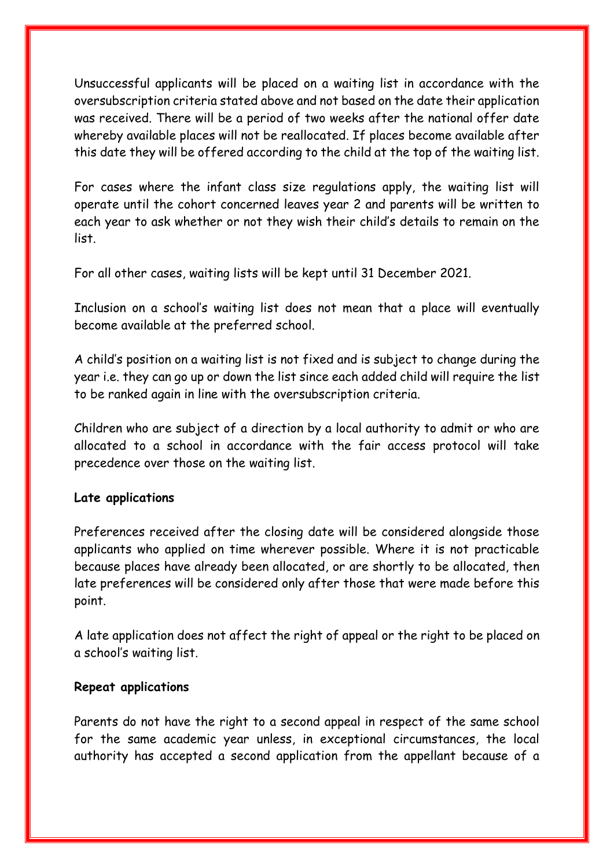Unsuccessful applicants will be placed on a waiting list in accordance with the oversubscription criteria stated above and not based on the date their application was received. There will be a period of two weeks after the national offer date whereby available places will not be reallocated. If places become available after this date they will be offered according to the child at the top of the waiting list.

For cases where the infant class size regulations apply, the waiting list will operate until the cohort concerned leaves year 2 and parents will be written to each year to ask whether or not they wish their child's details to remain on the list.

For all other cases, waiting lists will be kept until 31 December 2021.

Inclusion on a school's waiting list does not mean that a place will eventually become available at the preferred school.

A child's position on a waiting list is not fixed and is subject to change during the year i.e. they can go up or down the list since each added child will require the list to be ranked again in line with the oversubscription criteria.

Children who are subject of a direction by a local authority to admit or who are allocated to a school in accordance with the fair access protocol will take precedence over those on the waiting list.

#### **Late applications**

Preferences received after the closing date will be considered alongside those applicants who applied on time wherever possible. Where it is not practicable because places have already been allocated, or are shortly to be allocated, then late preferences will be considered only after those that were made before this point.

A late application does not affect the right of appeal or the right to be placed on a school's waiting list.

#### **Repeat applications**

Parents do not have the right to a second appeal in respect of the same school for the same academic year unless, in exceptional circumstances, the local authority has accepted a second application from the appellant because of a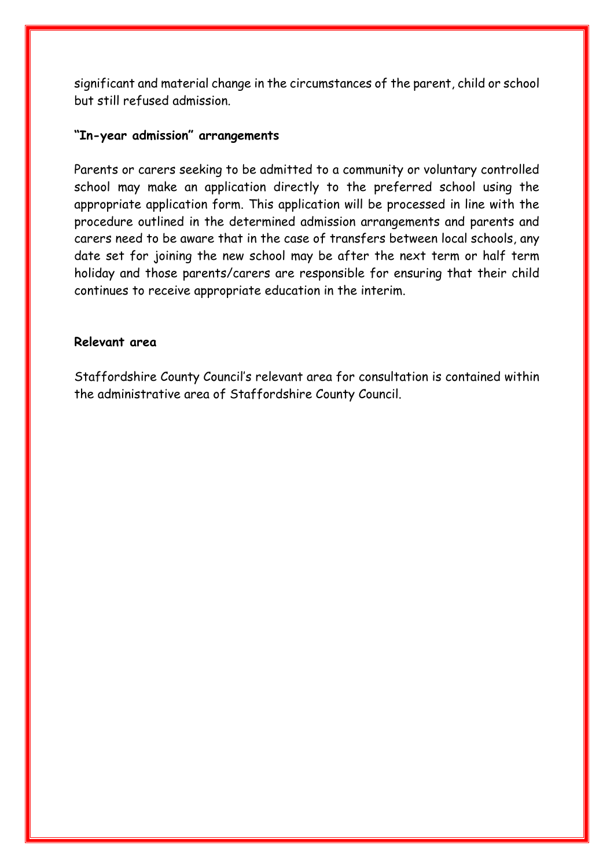significant and material change in the circumstances of the parent, child or school but still refused admission.

#### **"In-year admission" arrangements**

Parents or carers seeking to be admitted to a community or voluntary controlled school may make an application directly to the preferred school using the appropriate application form. This application will be processed in line with the procedure outlined in the determined admission arrangements and parents and carers need to be aware that in the case of transfers between local schools, any date set for joining the new school may be after the next term or half term holiday and those parents/carers are responsible for ensuring that their child continues to receive appropriate education in the interim.

#### **Relevant area**

Staffordshire County Council's relevant area for consultation is contained within the administrative area of Staffordshire County Council.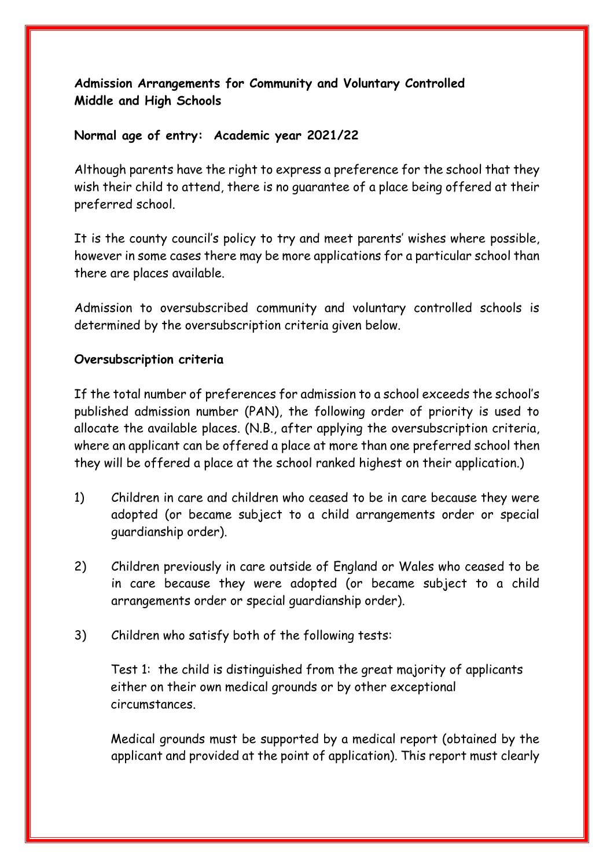# **Admission Arrangements for Community and Voluntary Controlled Middle and High Schools**

#### **Normal age of entry: Academic year 2021/22**

Although parents have the right to express a preference for the school that they wish their child to attend, there is no guarantee of a place being offered at their preferred school.

It is the county council's policy to try and meet parents' wishes where possible, however in some cases there may be more applications for a particular school than there are places available.

Admission to oversubscribed community and voluntary controlled schools is determined by the oversubscription criteria given below.

### **Oversubscription criteria**

If the total number of preferences for admission to a school exceeds the school's published admission number (PAN), the following order of priority is used to allocate the available places. (N.B., after applying the oversubscription criteria, where an applicant can be offered a place at more than one preferred school then they will be offered a place at the school ranked highest on their application.)

- 1) Children in care and children who ceased to be in care because they were adopted (or became subject to a child arrangements order or special guardianship order).
- 2) Children previously in care outside of England or Wales who ceased to be in care because they were adopted (or became subject to a child arrangements order or special guardianship order).
- 3) Children who satisfy both of the following tests:

Test 1: the child is distinguished from the great majority of applicants either on their own medical grounds or by other exceptional circumstances.

Medical grounds must be supported by a medical report (obtained by the applicant and provided at the point of application). This report must clearly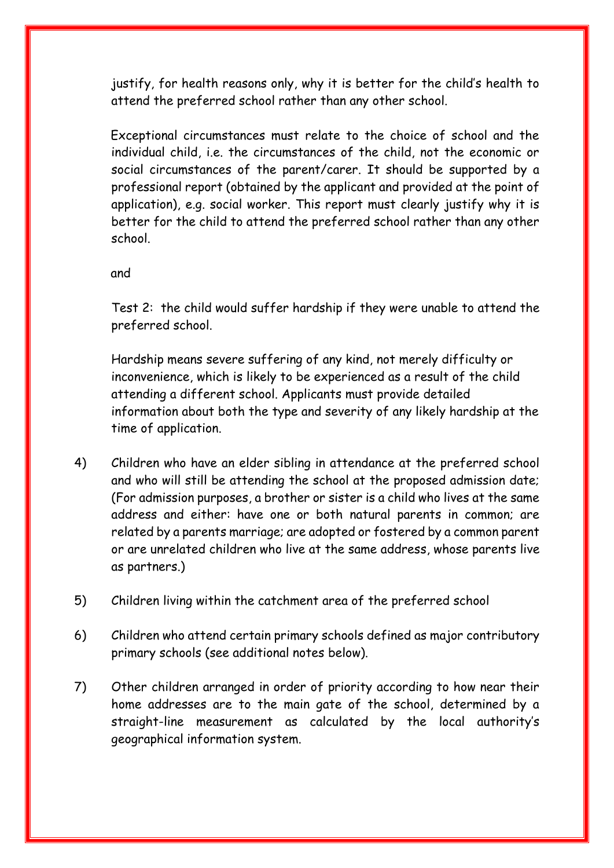justify, for health reasons only, why it is better for the child's health to attend the preferred school rather than any other school.

Exceptional circumstances must relate to the choice of school and the individual child, i.e. the circumstances of the child, not the economic or social circumstances of the parent/carer. It should be supported by a professional report (obtained by the applicant and provided at the point of application), e.g. social worker. This report must clearly justify why it is better for the child to attend the preferred school rather than any other school.

and

Test 2: the child would suffer hardship if they were unable to attend the preferred school.

Hardship means severe suffering of any kind, not merely difficulty or inconvenience, which is likely to be experienced as a result of the child attending a different school. Applicants must provide detailed information about both the type and severity of any likely hardship at the time of application.

- 4) Children who have an elder sibling in attendance at the preferred school and who will still be attending the school at the proposed admission date; (For admission purposes, a brother or sister is a child who lives at the same address and either: have one or both natural parents in common; are related by a parents marriage; are adopted or fostered by a common parent or are unrelated children who live at the same address, whose parents live as partners.)
- 5) Children living within the catchment area of the preferred school
- 6) Children who attend certain primary schools defined as major contributory primary schools (see additional notes below).
- 7) Other children arranged in order of priority according to how near their home addresses are to the main gate of the school, determined by a straight-line measurement as calculated by the local authority's geographical information system.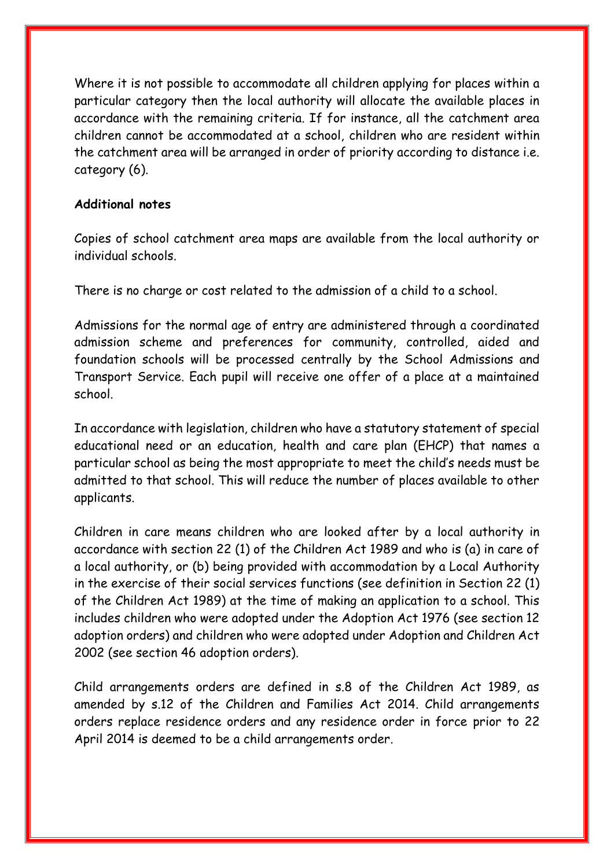Where it is not possible to accommodate all children applying for places within a particular category then the local authority will allocate the available places in accordance with the remaining criteria. If for instance, all the catchment area children cannot be accommodated at a school, children who are resident within the catchment area will be arranged in order of priority according to distance i.e. category (6).

#### **Additional notes**

Copies of school catchment area maps are available from the local authority or individual schools.

There is no charge or cost related to the admission of a child to a school.

Admissions for the normal age of entry are administered through a coordinated admission scheme and preferences for community, controlled, aided and foundation schools will be processed centrally by the School Admissions and Transport Service. Each pupil will receive one offer of a place at a maintained school.

In accordance with legislation, children who have a statutory statement of special educational need or an education, health and care plan (EHCP) that names a particular school as being the most appropriate to meet the child's needs must be admitted to that school. This will reduce the number of places available to other applicants.

Children in care means children who are looked after by a local authority in accordance with section 22 (1) of the Children Act 1989 and who is (a) in care of a local authority, or (b) being provided with accommodation by a Local Authority in the exercise of their social services functions (see definition in Section 22 (1) of the Children Act 1989) at the time of making an application to a school. This includes children who were adopted under the Adoption Act 1976 (see section 12 adoption orders) and children who were adopted under Adoption and Children Act 2002 (see section 46 adoption orders).

Child arrangements orders are defined in s.8 of the Children Act 1989, as amended by s.12 of the Children and Families Act 2014. Child arrangements orders replace residence orders and any residence order in force prior to 22 April 2014 is deemed to be a child arrangements order.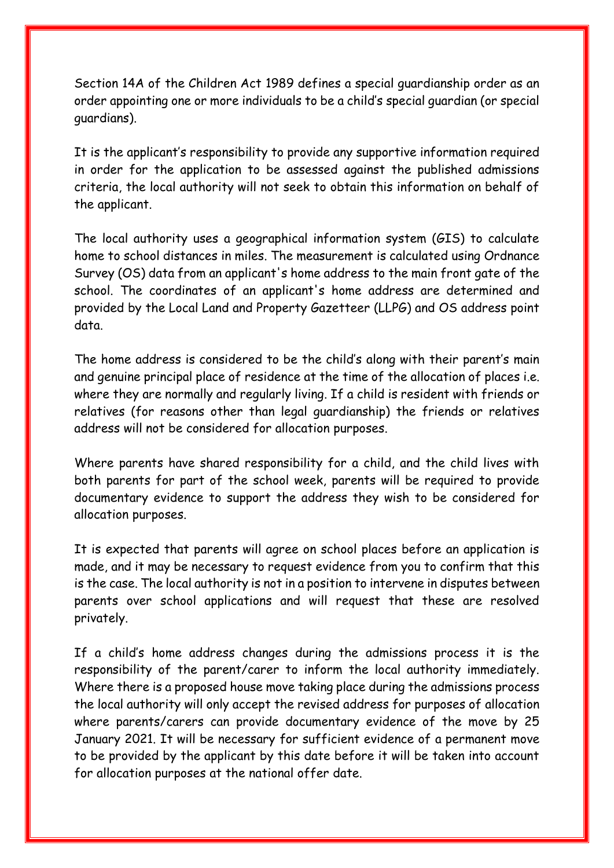Section 14A of the Children Act 1989 defines a special guardianship order as an order appointing one or more individuals to be a child's special guardian (or special guardians).

It is the applicant's responsibility to provide any supportive information required in order for the application to be assessed against the published admissions criteria, the local authority will not seek to obtain this information on behalf of the applicant.

The local authority uses a geographical information system (GIS) to calculate home to school distances in miles. The measurement is calculated using Ordnance Survey (OS) data from an applicant's home address to the main front gate of the school. The coordinates of an applicant's home address are determined and provided by the Local Land and Property Gazetteer (LLPG) and OS address point data.

The home address is considered to be the child's along with their parent's main and genuine principal place of residence at the time of the allocation of places i.e. where they are normally and regularly living. If a child is resident with friends or relatives (for reasons other than legal guardianship) the friends or relatives address will not be considered for allocation purposes.

Where parents have shared responsibility for a child, and the child lives with both parents for part of the school week, parents will be required to provide documentary evidence to support the address they wish to be considered for allocation purposes.

It is expected that parents will agree on school places before an application is made, and it may be necessary to request evidence from you to confirm that this is the case. The local authority is not in a position to intervene in disputes between parents over school applications and will request that these are resolved privately.

If a child's home address changes during the admissions process it is the responsibility of the parent/carer to inform the local authority immediately. Where there is a proposed house move taking place during the admissions process the local authority will only accept the revised address for purposes of allocation where parents/carers can provide documentary evidence of the move by 25 January 2021. It will be necessary for sufficient evidence of a permanent move to be provided by the applicant by this date before it will be taken into account for allocation purposes at the national offer date.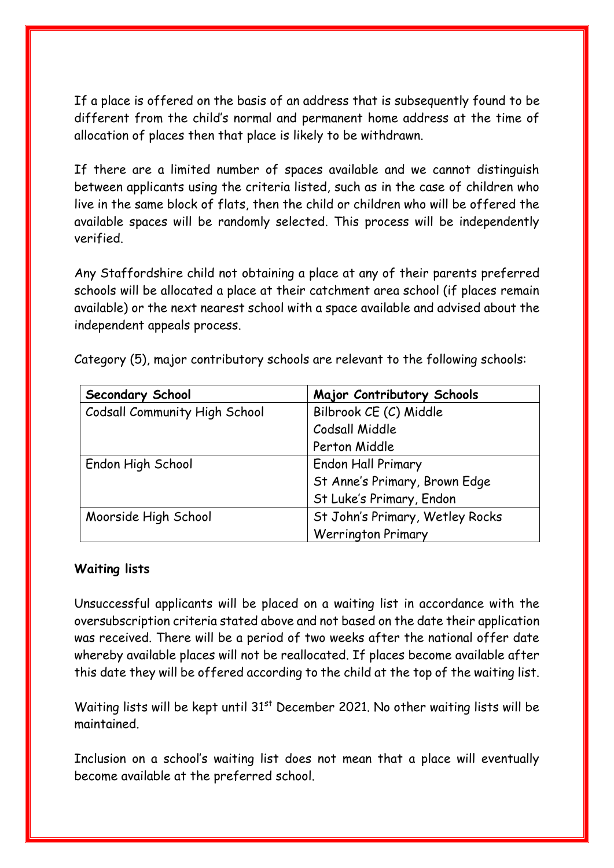If a place is offered on the basis of an address that is subsequently found to be different from the child's normal and permanent home address at the time of allocation of places then that place is likely to be withdrawn.

If there are a limited number of spaces available and we cannot distinguish between applicants using the criteria listed, such as in the case of children who live in the same block of flats, then the child or children who will be offered the available spaces will be randomly selected. This process will be independently verified.

Any Staffordshire child not obtaining a place at any of their parents preferred schools will be allocated a place at their catchment area school (if places remain available) or the next nearest school with a space available and advised about the independent appeals process.

| Secondary School                     | Major Contributory Schools      |
|--------------------------------------|---------------------------------|
| <b>Codsall Community High School</b> | Bilbrook CE (C) Middle          |
|                                      | Codsall Middle                  |
|                                      | Perton Middle                   |
| Endon High School                    | <b>Endon Hall Primary</b>       |
|                                      | St Anne's Primary, Brown Edge   |
|                                      | St Luke's Primary, Endon        |
| Moorside High School                 | St John's Primary, Wetley Rocks |
|                                      | <b>Werrington Primary</b>       |

Category (5), major contributory schools are relevant to the following schools:

#### **Waiting lists**

Unsuccessful applicants will be placed on a waiting list in accordance with the oversubscription criteria stated above and not based on the date their application was received. There will be a period of two weeks after the national offer date whereby available places will not be reallocated. If places become available after this date they will be offered according to the child at the top of the waiting list.

Waiting lists will be kept until 31<sup>st</sup> December 2021. No other waiting lists will be maintained.

Inclusion on a school's waiting list does not mean that a place will eventually become available at the preferred school.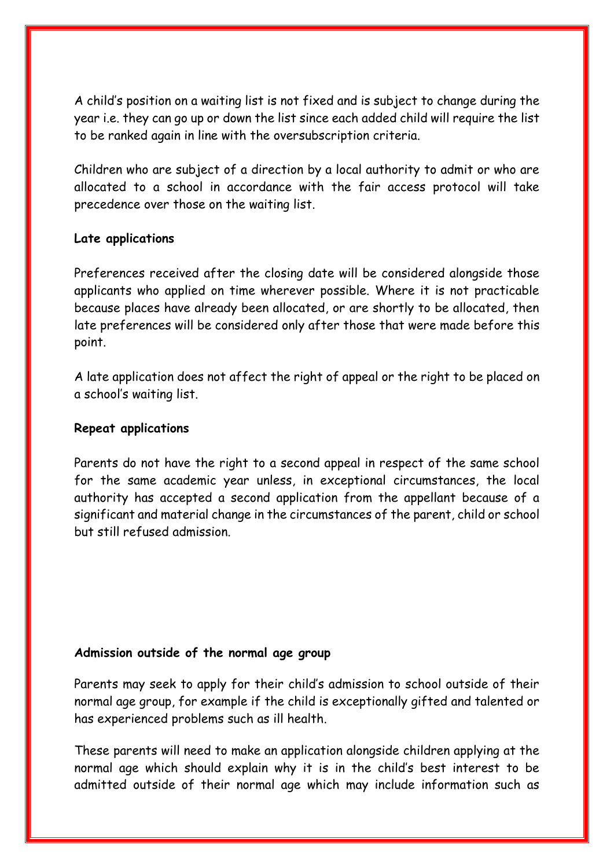A child's position on a waiting list is not fixed and is subject to change during the year i.e. they can go up or down the list since each added child will require the list to be ranked again in line with the oversubscription criteria.

Children who are subject of a direction by a local authority to admit or who are allocated to a school in accordance with the fair access protocol will take precedence over those on the waiting list.

#### **Late applications**

Preferences received after the closing date will be considered alongside those applicants who applied on time wherever possible. Where it is not practicable because places have already been allocated, or are shortly to be allocated, then late preferences will be considered only after those that were made before this point.

A late application does not affect the right of appeal or the right to be placed on a school's waiting list.

#### **Repeat applications**

Parents do not have the right to a second appeal in respect of the same school for the same academic year unless, in exceptional circumstances, the local authority has accepted a second application from the appellant because of a significant and material change in the circumstances of the parent, child or school but still refused admission.

#### **Admission outside of the normal age group**

Parents may seek to apply for their child's admission to school outside of their normal age group, for example if the child is exceptionally gifted and talented or has experienced problems such as ill health.

These parents will need to make an application alongside children applying at the normal age which should explain why it is in the child's best interest to be admitted outside of their normal age which may include information such as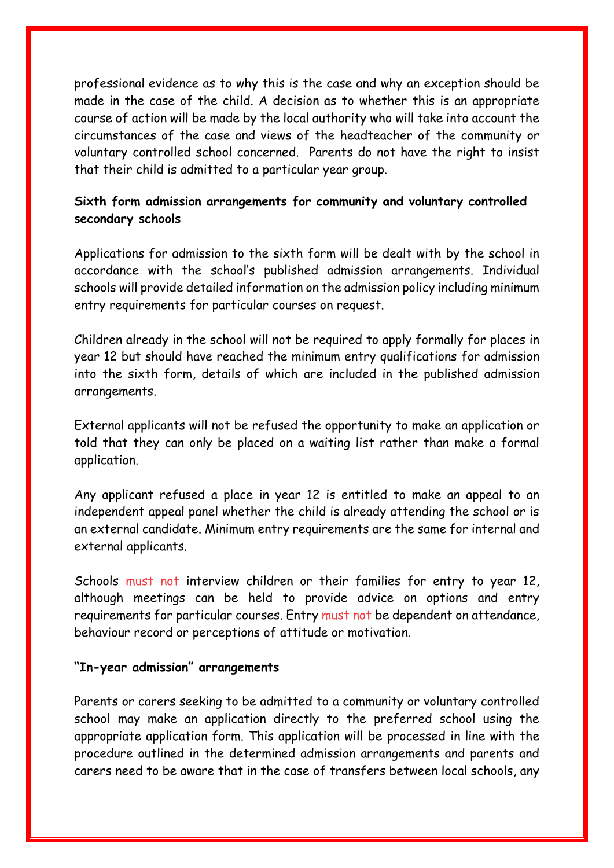professional evidence as to why this is the case and why an exception should be made in the case of the child. A decision as to whether this is an appropriate course of action will be made by the local authority who will take into account the circumstances of the case and views of the headteacher of the community or voluntary controlled school concerned. Parents do not have the right to insist that their child is admitted to a particular year group.

# **Sixth form admission arrangements for community and voluntary controlled secondary schools**

Applications for admission to the sixth form will be dealt with by the school in accordance with the school's published admission arrangements. Individual schools will provide detailed information on the admission policy including minimum entry requirements for particular courses on request.

Children already in the school will not be required to apply formally for places in year 12 but should have reached the minimum entry qualifications for admission into the sixth form, details of which are included in the published admission arrangements.

External applicants will not be refused the opportunity to make an application or told that they can only be placed on a waiting list rather than make a formal application.

Any applicant refused a place in year 12 is entitled to make an appeal to an independent appeal panel whether the child is already attending the school or is an external candidate. Minimum entry requirements are the same for internal and external applicants.

Schools must not interview children or their families for entry to year 12, although meetings can be held to provide advice on options and entry requirements for particular courses. Entry must not be dependent on attendance, behaviour record or perceptions of attitude or motivation.

#### **"In-year admission" arrangements**

Parents or carers seeking to be admitted to a community or voluntary controlled school may make an application directly to the preferred school using the appropriate application form. This application will be processed in line with the procedure outlined in the determined admission arrangements and parents and carers need to be aware that in the case of transfers between local schools, any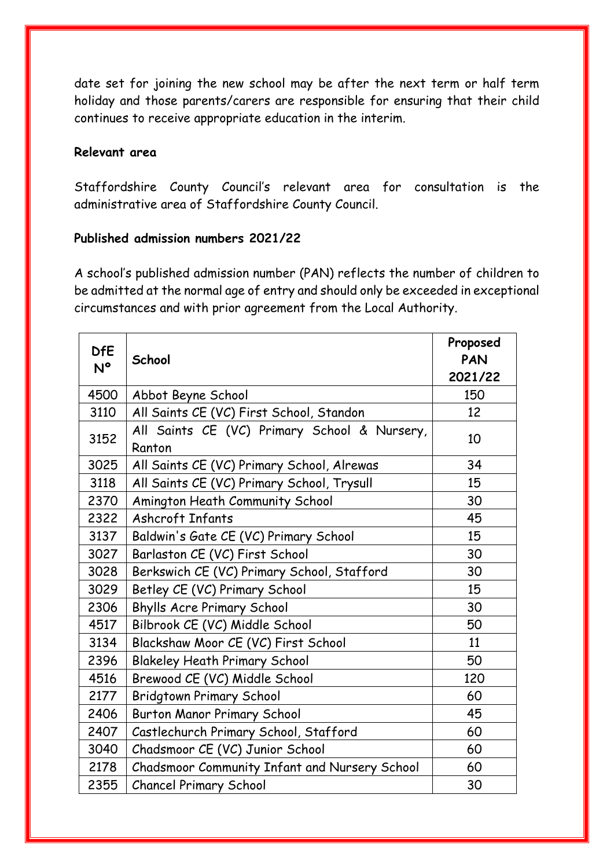date set for joining the new school may be after the next term or half term holiday and those parents/carers are responsible for ensuring that their child continues to receive appropriate education in the interim.

#### **Relevant area**

Staffordshire County Council's relevant area for consultation is the administrative area of Staffordshire County Council.

### **Published admission numbers 2021/22**

A school's published admission number (PAN) reflects the number of children to be admitted at the normal age of entry and should only be exceeded in exceptional circumstances and with prior agreement from the Local Authority.

| <b>DfE</b><br>N° | School                                                 | Proposed<br><b>PAN</b><br>2021/22 |
|------------------|--------------------------------------------------------|-----------------------------------|
| 4500             | Abbot Beyne School                                     | 150                               |
| 3110             | All Saints CE (VC) First School, Standon               | 12                                |
| 3152             | All Saints CE (VC) Primary School & Nursery,<br>Ranton | 10                                |
| 3025             | All Saints CE (VC) Primary School, Alrewas             | 34                                |
| 3118             | All Saints CE (VC) Primary School, Trysull             | 15                                |
| 2370             | Amington Heath Community School                        | 30                                |
| 2322             | <b>Ashcroft Infants</b>                                | 45                                |
| 3137             | Baldwin's Gate CE (VC) Primary School                  | 15                                |
| 3027             | Barlaston CE (VC) First School                         | 30                                |
| 3028             | Berkswich CE (VC) Primary School, Stafford             | 30                                |
| 3029             | Betley CE (VC) Primary School                          | 15                                |
| 2306             | <b>Bhylls Acre Primary School</b>                      | 30                                |
| 4517             | Bilbrook CE (VC) Middle School                         | 50                                |
| 3134             | Blackshaw Moor CE (VC) First School                    | 11                                |
| 2396             | <b>Blakeley Heath Primary School</b>                   | 50                                |
| 4516             | Brewood CE (VC) Middle School                          | 120                               |
| 2177             | <b>Bridgtown Primary School</b>                        | 60                                |
| 2406             | <b>Burton Manor Primary School</b>                     | 45                                |
| 2407             | Castlechurch Primary School, Stafford                  | 60                                |
| 3040             | Chadsmoor CE (VC) Junior School                        | 60                                |
| 2178             | Chadsmoor Community Infant and Nursery School          | 60                                |
| 2355             | <b>Chancel Primary School</b>                          | 30                                |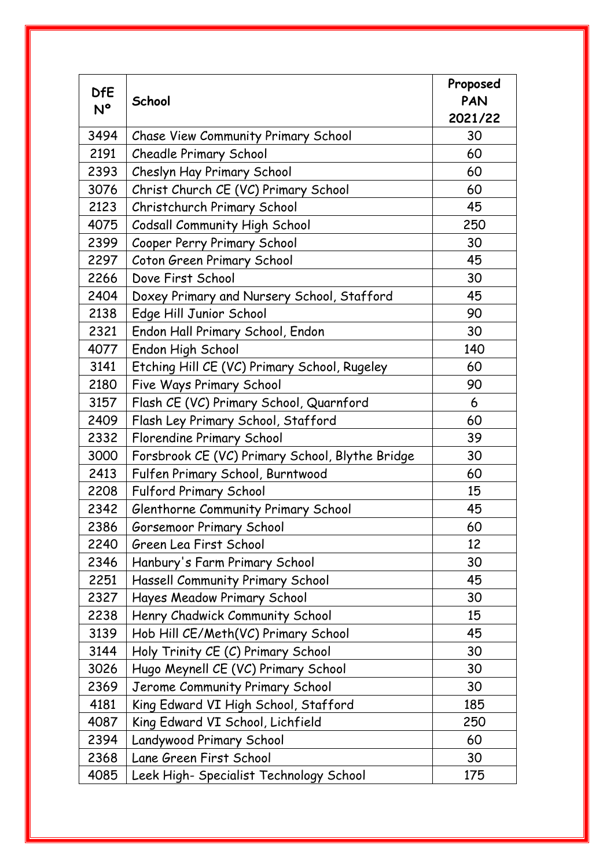| <b>DfE</b> | School                                          | Proposed<br>PAN |
|------------|-------------------------------------------------|-----------------|
| N°         |                                                 | 2021/22         |
| 3494       | Chase View Community Primary School             | 30              |
| 2191       | <b>Cheadle Primary School</b>                   | 60              |
| 2393       | Cheslyn Hay Primary School                      | 60              |
| 3076       | Christ Church CE (VC) Primary School            | 60              |
| 2123       | Christchurch Primary School                     | 45              |
| 4075       | <b>Codsall Community High School</b>            | 250             |
| 2399       | Cooper Perry Primary School                     | 30              |
| 2297       | Coton Green Primary School                      | 45              |
| 2266       | Dove First School                               | 30              |
| 2404       | Doxey Primary and Nursery School, Stafford      | 45              |
| 2138       | Edge Hill Junior School                         | 90              |
| 2321       | Endon Hall Primary School, Endon                | 30              |
| 4077       | Endon High School                               | 140             |
| 3141       | Etching Hill CE (VC) Primary School, Rugeley    | 60              |
| 2180       | Five Ways Primary School                        | 90              |
| 3157       | Flash CE (VC) Primary School, Quarnford         | 6               |
| 2409       | Flash Ley Primary School, Stafford              | 60              |
| 2332       | Florendine Primary School                       | 39              |
| 3000       | Forsbrook CE (VC) Primary School, Blythe Bridge | 30              |
| 2413       | Fulfen Primary School, Burntwood                | 60              |
| 2208       | <b>Fulford Primary School</b>                   | 15              |
| 2342       | Glenthorne Community Primary School             | 45              |
| 2386       | Gorsemoor Primary School                        | 60              |
| 2240       | Green Lea First School                          | 12              |
| 2346       | Hanbury's Farm Primary School                   | 30              |
| 2251       | <b>Hassell Community Primary School</b>         | 45              |
| 2327       | Hayes Meadow Primary School                     | 30              |
| 2238       | Henry Chadwick Community School                 | 15              |
| 3139       | Hob Hill CE/Meth(VC) Primary School             | 45              |
| 3144       | Holy Trinity CE (C) Primary School              | 30              |
| 3026       | Hugo Meynell CE (VC) Primary School             | 30              |
| 2369       | Jerome Community Primary School                 | 30              |
| 4181       | King Edward VI High School, Stafford            | 185             |
| 4087       | King Edward VI School, Lichfield                | 250             |
| 2394       | Landywood Primary School                        | 60              |
| 2368       | Lane Green First School                         | 30              |
| 4085       | Leek High- Specialist Technology School         | 175             |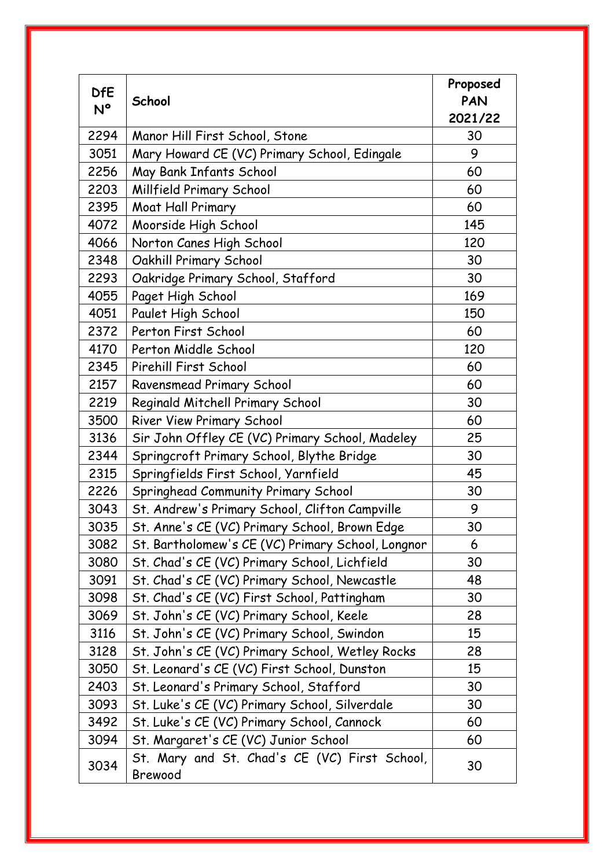| <b>DfE</b> | School                                                   | Proposed<br>PAN |
|------------|----------------------------------------------------------|-----------------|
| N°         |                                                          | 2021/22         |
| 2294       | Manor Hill First School, Stone                           | 30              |
| 3051       | Mary Howard CE (VC) Primary School, Edingale             | 9               |
| 2256       | May Bank Infants School                                  | 60              |
| 2203       | Millfield Primary School                                 | 60              |
| 2395       | Moat Hall Primary                                        | 60              |
| 4072       | Moorside High School                                     | 145             |
| 4066       | Norton Canes High School                                 | 120             |
| 2348       | Oakhill Primary School                                   | 30              |
| 2293       | Oakridge Primary School, Stafford                        | 30              |
| 4055       | Paget High School                                        | 169             |
| 4051       | Paulet High School                                       | 150             |
| 2372       | Perton First School                                      | 60              |
| 4170       | Perton Middle School                                     | 120             |
| 2345       | Pirehill First School                                    | 60              |
| 2157       | Ravensmead Primary School                                | 60              |
| 2219       | Reginald Mitchell Primary School                         | 30              |
| 3500       | River View Primary School                                | 60              |
| 3136       | Sir John Offley CE (VC) Primary School, Madeley          | 25              |
| 2344       | Springcroft Primary School, Blythe Bridge                | 30              |
| 2315       | Springfields First School, Yarnfield                     | 45              |
| 2226       | Springhead Community Primary School                      | 30              |
| 3043       | St. Andrew's Primary School, Clifton Campville           | 9               |
| 3035       | St. Anne's CE (VC) Primary School, Brown Edge            | 30              |
| 3082       | St. Bartholomew's CE (VC) Primary School, Longnor        | 6               |
| 3080       | St. Chad's CE (VC) Primary School, Lichfield             | 30              |
| 3091       | St. Chad's CE (VC) Primary School, Newcastle             | 48              |
| 3098       | St. Chad's CE (VC) First School, Pattingham              | 30              |
| 3069       | St. John's CE (VC) Primary School, Keele                 | 28              |
| 3116       | St. John's CE (VC) Primary School, Swindon               | 15              |
| 3128       | St. John's CE (VC) Primary School, Wetley Rocks          | 28              |
| 3050       | St. Leonard's CE (VC) First School, Dunston              | 15              |
| 2403       | St. Leonard's Primary School, Stafford                   | 30              |
| 3093       | St. Luke's CE (VC) Primary School, Silverdale            | 30              |
| 3492       | St. Luke's CE (VC) Primary School, Cannock               | 60              |
| 3094       | St. Margaret's CE (VC) Junior School                     | 60              |
| 3034       | St. Mary and St. Chad's CE (VC) First School,<br>Brewood | 30              |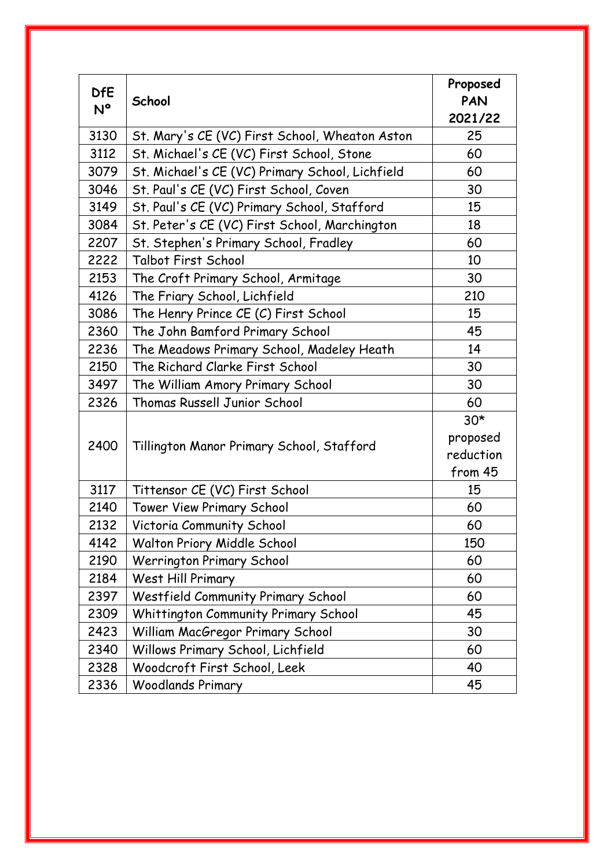| <b>DfE</b> | School                                          | Proposed<br>PAN |
|------------|-------------------------------------------------|-----------------|
| N°         |                                                 | 2021/22         |
| 3130       | St. Mary's CE (VC) First School, Wheaton Aston  | 25              |
| 3112       | St. Michael's CE (VC) First School, Stone       | 60              |
| 3079       | St. Michael's CE (VC) Primary School, Lichfield | 60              |
| 3046       | St. Paul's CE (VC) First School, Coven          | 30              |
| 3149       | St. Paul's CE (VC) Primary School, Stafford     | 15              |
| 3084       | St. Peter's CE (VC) First School, Marchington   | 18              |
| 2207       | St. Stephen's Primary School, Fradley           | 60              |
| 2222       | Talbot First School                             | 10              |
| 2153       | The Croft Primary School, Armitage              | 30              |
| 4126       | The Friary School, Lichfield                    | 210             |
| 3086       | The Henry Prince CE (C) First School            | 15              |
| 2360       | The John Bamford Primary School                 | 45              |
| 2236       | The Meadows Primary School, Madeley Heath       | 14              |
| 2150       | The Richard Clarke First School                 | 30              |
| 3497       | The William Amory Primary School                | 30              |
| 2326       | <b>Thomas Russell Junior School</b>             | 60              |
|            |                                                 | $30*$           |
| 2400       | Tillington Manor Primary School, Stafford       | proposed        |
|            |                                                 | reduction       |
|            |                                                 | from 45         |
| 3117       | Tittensor CE (VC) First School                  | 15              |
| 2140       | <b>Tower View Primary School</b>                | 60              |
| 2132       | Victoria Community School                       | 60              |
| 4142       | Walton Priory Middle School                     | 150             |
| 2190       | <b>Werrington Primary School</b>                | 60              |
| 2184       | West Hill Primary                               | 60              |
| 2397       | Westfield Community Primary School              | 60              |
| 2309       | Whittington Community Primary School            | 45              |
| 2423       | William MacGregor Primary School                | 30              |
| 2340       | Willows Primary School, Lichfield               | 60              |
| 2328       | Woodcroft First School, Leek                    | 40              |
| 2336       | <b>Woodlands Primary</b>                        | 45              |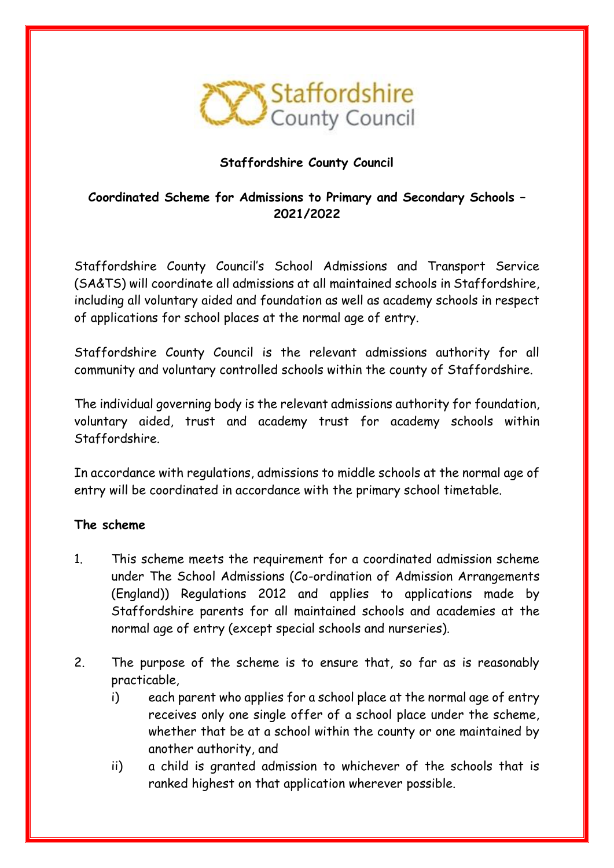

# **Staffordshire County Council**

# **Coordinated Scheme for Admissions to Primary and Secondary Schools – 2021/2022**

Staffordshire County Council's School Admissions and Transport Service (SA&TS) will coordinate all admissions at all maintained schools in Staffordshire, including all voluntary aided and foundation as well as academy schools in respect of applications for school places at the normal age of entry.

Staffordshire County Council is the relevant admissions authority for all community and voluntary controlled schools within the county of Staffordshire.

The individual governing body is the relevant admissions authority for foundation, voluntary aided, trust and academy trust for academy schools within Staffordshire.

In accordance with regulations, admissions to middle schools at the normal age of entry will be coordinated in accordance with the primary school timetable.

#### **The scheme**

- 1. This scheme meets the requirement for a coordinated admission scheme under The School Admissions (Co-ordination of Admission Arrangements (England)) Regulations 2012 and applies to applications made by Staffordshire parents for all maintained schools and academies at the normal age of entry (except special schools and nurseries).
- 2. The purpose of the scheme is to ensure that, so far as is reasonably practicable,
	- i) each parent who applies for a school place at the normal age of entry receives only one single offer of a school place under the scheme, whether that be at a school within the county or one maintained by another authority, and
	- ii) a child is granted admission to whichever of the schools that is ranked highest on that application wherever possible.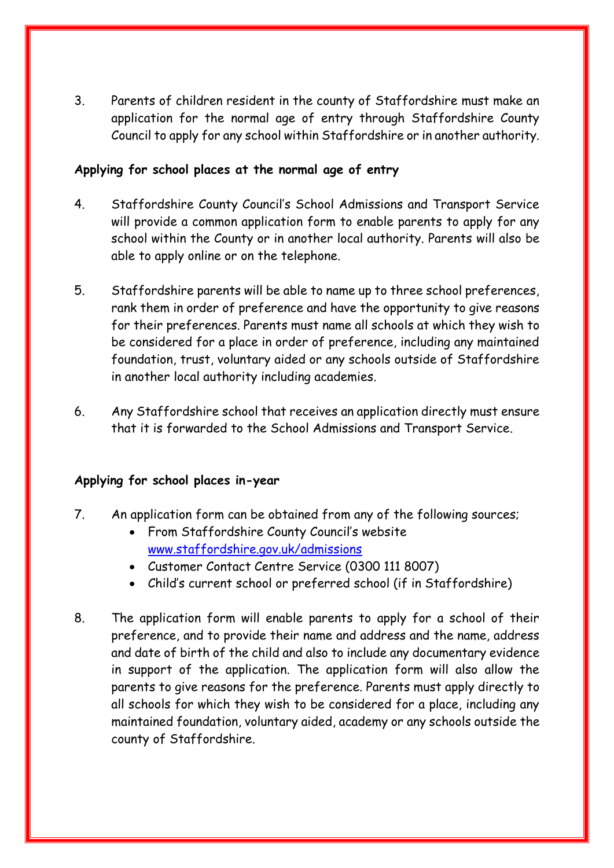3. Parents of children resident in the county of Staffordshire must make an application for the normal age of entry through Staffordshire County Council to apply for any school within Staffordshire or in another authority.

#### **Applying for school places at the normal age of entry**

- 4. Staffordshire County Council's School Admissions and Transport Service will provide a common application form to enable parents to apply for any school within the County or in another local authority. Parents will also be able to apply online or on the telephone.
- 5. Staffordshire parents will be able to name up to three school preferences, rank them in order of preference and have the opportunity to give reasons for their preferences. Parents must name all schools at which they wish to be considered for a place in order of preference, including any maintained foundation, trust, voluntary aided or any schools outside of Staffordshire in another local authority including academies.
- 6. Any Staffordshire school that receives an application directly must ensure that it is forwarded to the School Admissions and Transport Service.

# **Applying for school places in-year**

- 7. An application form can be obtained from any of the following sources;
	- From Staffordshire County Council's website [www.staffordshire.gov.uk/admissions](http://www.staffordshire.gov.uk/admissions)
	- Customer Contact Centre Service (0300 111 8007)
	- Child's current school or preferred school (if in Staffordshire)
- 8. The application form will enable parents to apply for a school of their preference, and to provide their name and address and the name, address and date of birth of the child and also to include any documentary evidence in support of the application. The application form will also allow the parents to give reasons for the preference. Parents must apply directly to all schools for which they wish to be considered for a place, including any maintained foundation, voluntary aided, academy or any schools outside the county of Staffordshire.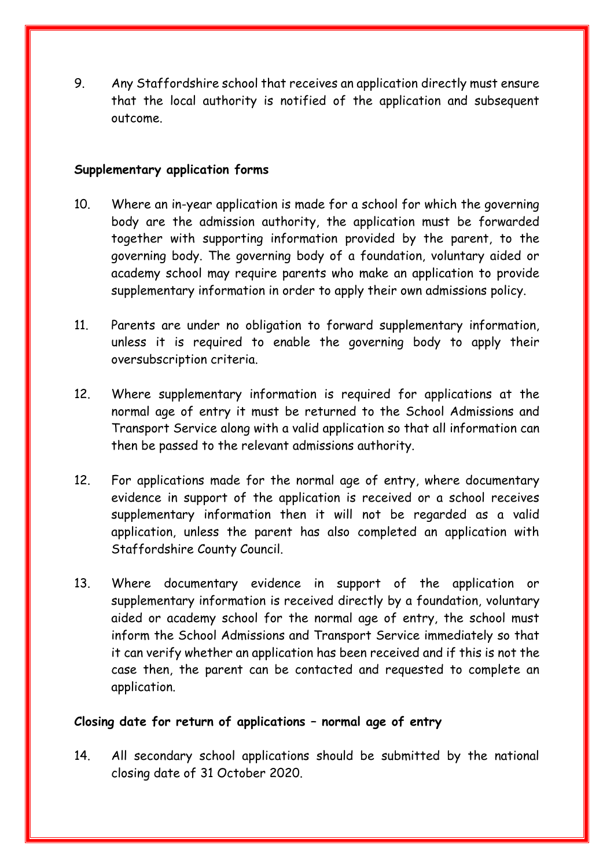9. Any Staffordshire school that receives an application directly must ensure that the local authority is notified of the application and subsequent outcome.

#### **Supplementary application forms**

- 10. Where an in-year application is made for a school for which the governing body are the admission authority, the application must be forwarded together with supporting information provided by the parent, to the governing body. The governing body of a foundation, voluntary aided or academy school may require parents who make an application to provide supplementary information in order to apply their own admissions policy.
- 11. Parents are under no obligation to forward supplementary information, unless it is required to enable the governing body to apply their oversubscription criteria.
- 12. Where supplementary information is required for applications at the normal age of entry it must be returned to the School Admissions and Transport Service along with a valid application so that all information can then be passed to the relevant admissions authority.
- 12. For applications made for the normal age of entry, where documentary evidence in support of the application is received or a school receives supplementary information then it will not be regarded as a valid application, unless the parent has also completed an application with Staffordshire County Council.
- 13. Where documentary evidence in support of the application or supplementary information is received directly by a foundation, voluntary aided or academy school for the normal age of entry, the school must inform the School Admissions and Transport Service immediately so that it can verify whether an application has been received and if this is not the case then, the parent can be contacted and requested to complete an application.

#### **Closing date for return of applications – normal age of entry**

14. All secondary school applications should be submitted by the national closing date of 31 October 2020.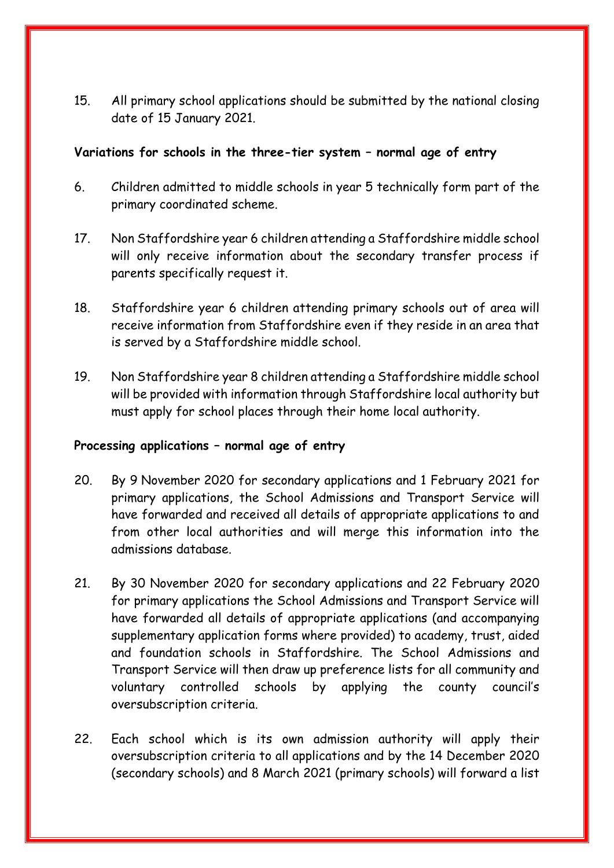15. All primary school applications should be submitted by the national closing date of 15 January 2021.

#### **Variations for schools in the three-tier system – normal age of entry**

- 6. Children admitted to middle schools in year 5 technically form part of the primary coordinated scheme.
- 17. Non Staffordshire year 6 children attending a Staffordshire middle school will only receive information about the secondary transfer process if parents specifically request it.
- 18. Staffordshire year 6 children attending primary schools out of area will receive information from Staffordshire even if they reside in an area that is served by a Staffordshire middle school.
- 19. Non Staffordshire year 8 children attending a Staffordshire middle school will be provided with information through Staffordshire local authority but must apply for school places through their home local authority.

#### **Processing applications – normal age of entry**

- 20. By 9 November 2020 for secondary applications and 1 February 2021 for primary applications, the School Admissions and Transport Service will have forwarded and received all details of appropriate applications to and from other local authorities and will merge this information into the admissions database.
- 21. By 30 November 2020 for secondary applications and 22 February 2020 for primary applications the School Admissions and Transport Service will have forwarded all details of appropriate applications (and accompanying supplementary application forms where provided) to academy, trust, aided and foundation schools in Staffordshire. The School Admissions and Transport Service will then draw up preference lists for all community and voluntary controlled schools by applying the county council's oversubscription criteria.
- 22. Each school which is its own admission authority will apply their oversubscription criteria to all applications and by the 14 December 2020 (secondary schools) and 8 March 2021 (primary schools) will forward a list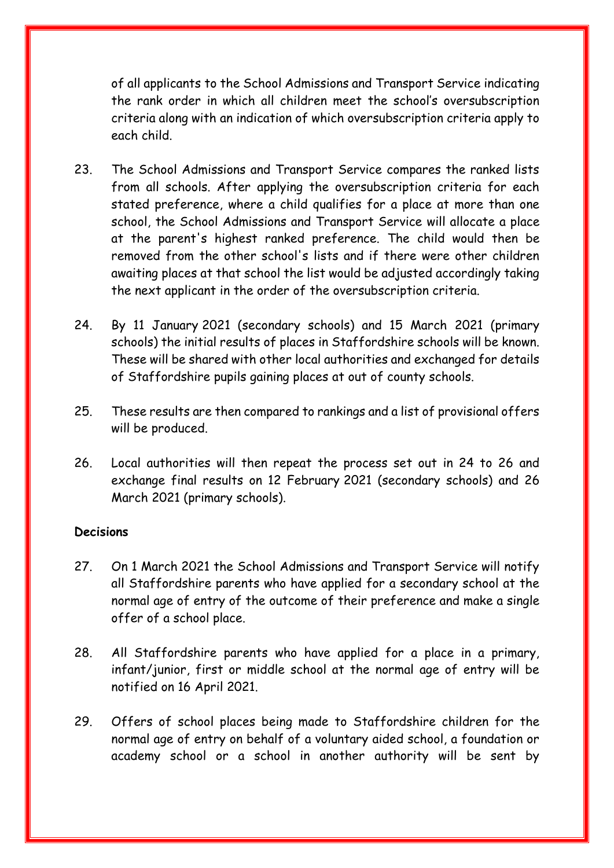of all applicants to the School Admissions and Transport Service indicating the rank order in which all children meet the school's oversubscription criteria along with an indication of which oversubscription criteria apply to each child.

- 23. The School Admissions and Transport Service compares the ranked lists from all schools. After applying the oversubscription criteria for each stated preference, where a child qualifies for a place at more than one school, the School Admissions and Transport Service will allocate a place at the parent's highest ranked preference. The child would then be removed from the other school's lists and if there were other children awaiting places at that school the list would be adjusted accordingly taking the next applicant in the order of the oversubscription criteria.
- 24. By 11 January 2021 (secondary schools) and 15 March 2021 (primary schools) the initial results of places in Staffordshire schools will be known. These will be shared with other local authorities and exchanged for details of Staffordshire pupils gaining places at out of county schools.
- 25. These results are then compared to rankings and a list of provisional offers will be produced.
- 26. Local authorities will then repeat the process set out in 24 to 26 and exchange final results on 12 February 2021 (secondary schools) and 26 March 2021 (primary schools).

#### **Decisions**

- 27. On 1 March 2021 the School Admissions and Transport Service will notify all Staffordshire parents who have applied for a secondary school at the normal age of entry of the outcome of their preference and make a single offer of a school place.
- 28. All Staffordshire parents who have applied for a place in a primary, infant/junior, first or middle school at the normal age of entry will be notified on 16 April 2021.
- 29. Offers of school places being made to Staffordshire children for the normal age of entry on behalf of a voluntary aided school, a foundation or academy school or a school in another authority will be sent by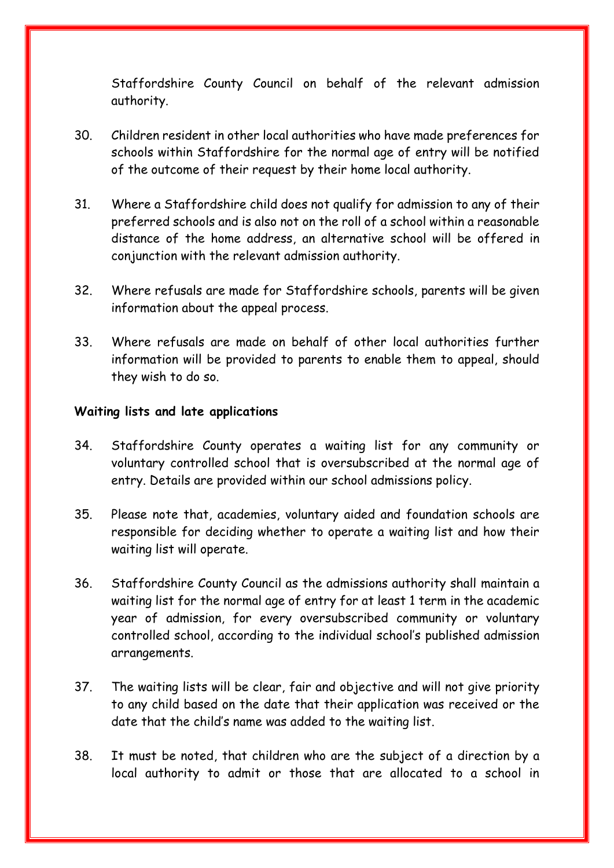Staffordshire County Council on behalf of the relevant admission authority.

- 30. Children resident in other local authorities who have made preferences for schools within Staffordshire for the normal age of entry will be notified of the outcome of their request by their home local authority.
- 31. Where a Staffordshire child does not qualify for admission to any of their preferred schools and is also not on the roll of a school within a reasonable distance of the home address, an alternative school will be offered in conjunction with the relevant admission authority.
- 32. Where refusals are made for Staffordshire schools, parents will be given information about the appeal process.
- 33. Where refusals are made on behalf of other local authorities further information will be provided to parents to enable them to appeal, should they wish to do so.

#### **Waiting lists and late applications**

- 34. Staffordshire County operates a waiting list for any community or voluntary controlled school that is oversubscribed at the normal age of entry. Details are provided within our school admissions policy.
- 35. Please note that, academies, voluntary aided and foundation schools are responsible for deciding whether to operate a waiting list and how their waiting list will operate.
- 36. Staffordshire County Council as the admissions authority shall maintain a waiting list for the normal age of entry for at least 1 term in the academic year of admission, for every oversubscribed community or voluntary controlled school, according to the individual school's published admission arrangements.
- 37. The waiting lists will be clear, fair and objective and will not give priority to any child based on the date that their application was received or the date that the child's name was added to the waiting list.
- 38. It must be noted, that children who are the subject of a direction by a local authority to admit or those that are allocated to a school in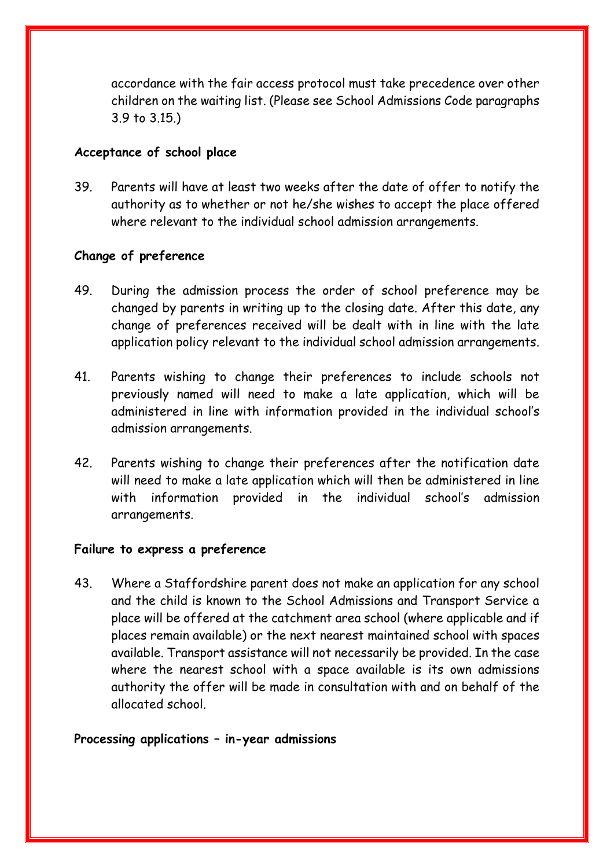accordance with the fair access protocol must take precedence over other children on the waiting list. (Please see School Admissions Code paragraphs 3.9 to 3.15.)

#### **Acceptance of school place**

39. Parents will have at least two weeks after the date of offer to notify the authority as to whether or not he/she wishes to accept the place offered where relevant to the individual school admission arrangements.

### **Change of preference**

- 49. During the admission process the order of school preference may be changed by parents in writing up to the closing date. After this date, any change of preferences received will be dealt with in line with the late application policy relevant to the individual school admission arrangements.
- 41. Parents wishing to change their preferences to include schools not previously named will need to make a late application, which will be administered in line with information provided in the individual school's admission arrangements.
- 42. Parents wishing to change their preferences after the notification date will need to make a late application which will then be administered in line with information provided in the individual school's admission arrangements.

#### **Failure to express a preference**

43. Where a Staffordshire parent does not make an application for any school and the child is known to the School Admissions and Transport Service a place will be offered at the catchment area school (where applicable and if places remain available) or the next nearest maintained school with spaces available. Transport assistance will not necessarily be provided. In the case where the nearest school with a space available is its own admissions authority the offer will be made in consultation with and on behalf of the allocated school.

#### **Processing applications – in-year admissions**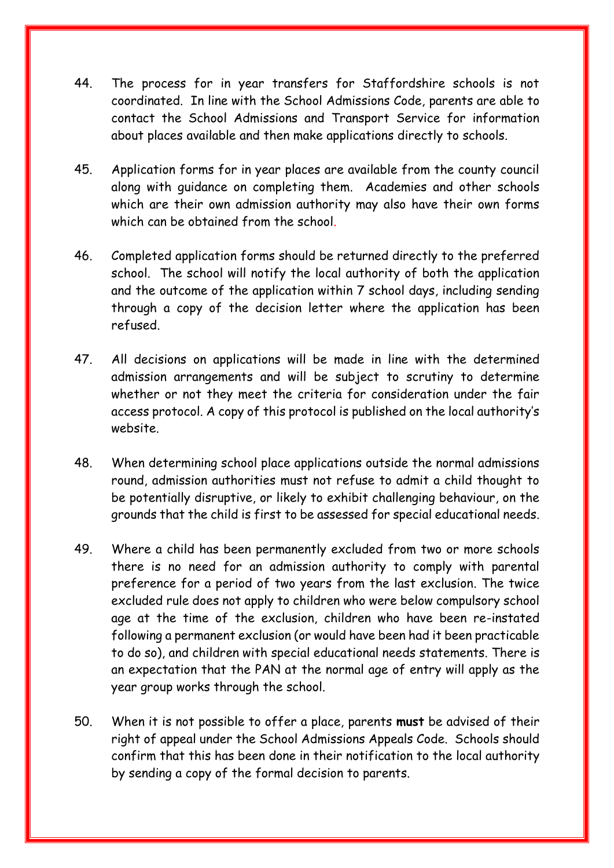- 44. The process for in year transfers for Staffordshire schools is not coordinated. In line with the School Admissions Code, parents are able to contact the School Admissions and Transport Service for information about places available and then make applications directly to schools.
- 45. Application forms for in year places are available from the county council along with guidance on completing them. Academies and other schools which are their own admission authority may also have their own forms which can be obtained from the school.
- 46. Completed application forms should be returned directly to the preferred school. The school will notify the local authority of both the application and the outcome of the application within 7 school days, including sending through a copy of the decision letter where the application has been refused.
- 47. All decisions on applications will be made in line with the determined admission arrangements and will be subject to scrutiny to determine whether or not they meet the criteria for consideration under the fair access protocol. A copy of this protocol is published on the local authority's website.
- 48. When determining school place applications outside the normal admissions round, admission authorities must not refuse to admit a child thought to be potentially disruptive, or likely to exhibit challenging behaviour, on the grounds that the child is first to be assessed for special educational needs.
- 49. Where a child has been permanently excluded from two or more schools there is no need for an admission authority to comply with parental preference for a period of two years from the last exclusion. The twice excluded rule does not apply to children who were below compulsory school age at the time of the exclusion, children who have been re-instated following a permanent exclusion (or would have been had it been practicable to do so), and children with special educational needs statements. There is an expectation that the PAN at the normal age of entry will apply as the year group works through the school.
- 50. When it is not possible to offer a place, parents **must** be advised of their right of appeal under the School Admissions Appeals Code. Schools should confirm that this has been done in their notification to the local authority by sending a copy of the formal decision to parents.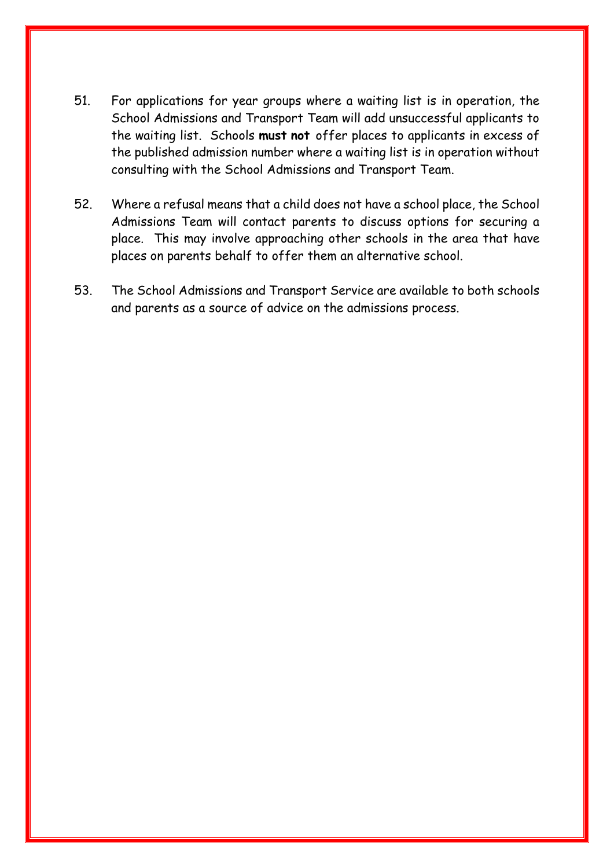- 51. For applications for year groups where a waiting list is in operation, the School Admissions and Transport Team will add unsuccessful applicants to the waiting list. Schools **must not** offer places to applicants in excess of the published admission number where a waiting list is in operation without consulting with the School Admissions and Transport Team.
- 52. Where a refusal means that a child does not have a school place, the School Admissions Team will contact parents to discuss options for securing a place. This may involve approaching other schools in the area that have places on parents behalf to offer them an alternative school.
- 53. The School Admissions and Transport Service are available to both schools and parents as a source of advice on the admissions process.